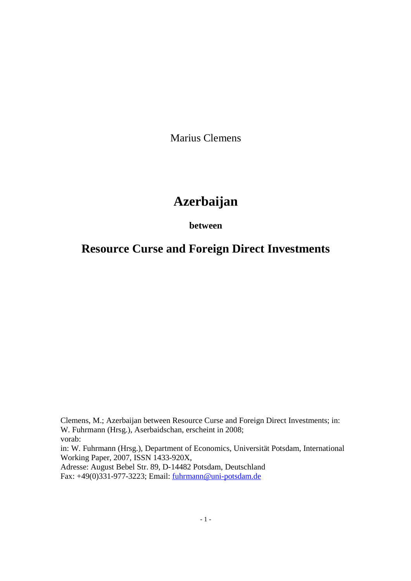Marius Clemens

# **Azerbaijan**

### **between**

## **Resource Curse and Foreign Direct Investments**

Clemens, M.; Azerbaijan between Resource Curse and Foreign Direct Investments; in: W. Fuhrmann (Hrsg.), Aserbaidschan, erscheint in 2008; vorab: in: W. Fuhrmann (Hrsg.), Department of Economics, Universität Potsdam, International Working Paper, 2007, ISSN 1433-920X, Adresse: August Bebel Str. 89, D-14482 Potsdam, Deutschland Fax: +49(0)331-977-3223; Email: fuhrmann@uni-potsdam.de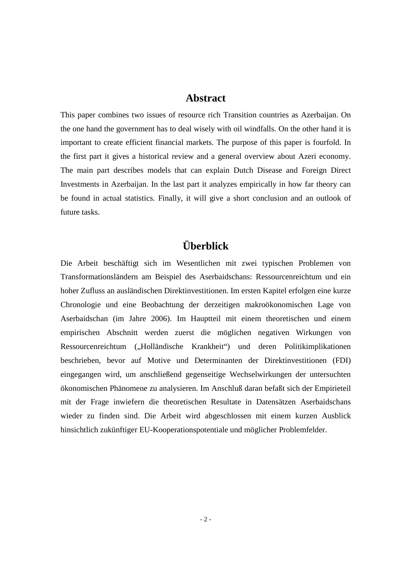### **Abstract**

This paper combines two issues of resource rich Transition countries as Azerbaijan. On the one hand the government has to deal wisely with oil windfalls. On the other hand it is important to create efficient financial markets. The purpose of this paper is fourfold. In the first part it gives a historical review and a general overview about Azeri economy. The main part describes models that can explain Dutch Disease and Foreign Direct Investments in Azerbaijan. In the last part it analyzes empirically in how far theory can be found in actual statistics. Finally, it will give a short conclusion and an outlook of future tasks.

## **Überblick**

Die Arbeit beschäftigt sich im Wesentlichen mit zwei typischen Problemen von Transformationsländern am Beispiel des Aserbaidschans: Ressourcenreichtum und ein hoher Zufluss an ausländischen Direktinvestitionen. Im ersten Kapitel erfolgen eine kurze Chronologie und eine Beobachtung der derzeitigen makroökonomischen Lage von Aserbaidschan (im Jahre 2006). Im Hauptteil mit einem theoretischen und einem empirischen Abschnitt werden zuerst die möglichen negativen Wirkungen von Ressourcenreichtum ("Holländische Krankheit") und deren Politikimplikationen beschrieben, bevor auf Motive und Determinanten der Direktinvestitionen (FDI) eingegangen wird, um anschließend gegenseitige Wechselwirkungen der untersuchten ökonomischen Phänomene zu analysieren. Im Anschluß daran befaßt sich der Empirieteil mit der Frage inwiefern die theoretischen Resultate in Datensätzen Aserbaidschans wieder zu finden sind. Die Arbeit wird abgeschlossen mit einem kurzen Ausblick hinsichtlich zukünftiger EU-Kooperationspotentiale und möglicher Problemfelder.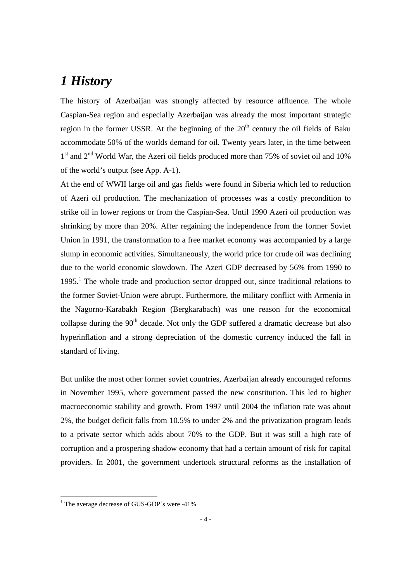# *1 History*

The history of Azerbaijan was strongly affected by resource affluence. The whole Caspian-Sea region and especially Azerbaijan was already the most important strategic region in the former USSR. At the beginning of the  $20<sup>th</sup>$  century the oil fields of Baku accommodate 50% of the worlds demand for oil. Twenty years later, in the time between 1<sup>st</sup> and 2<sup>nd</sup> World War, the Azeri oil fields produced more than 75% of soviet oil and 10% of the world's output (see App. A-1).

At the end of WWII large oil and gas fields were found in Siberia which led to reduction of Azeri oil production. The mechanization of processes was a costly precondition to strike oil in lower regions or from the Caspian-Sea. Until 1990 Azeri oil production was shrinking by more than 20%. After regaining the independence from the former Soviet Union in 1991, the transformation to a free market economy was accompanied by a large slump in economic activities. Simultaneously, the world price for crude oil was declining due to the world economic slowdown. The Azeri GDP decreased by 56% from 1990 to 1995.<sup>1</sup> The whole trade and production sector dropped out, since traditional relations to the former Soviet-Union were abrupt. Furthermore, the military conflict with Armenia in the Nagorno-Karabakh Region (Bergkarabach) was one reason for the economical collapse during the  $90<sup>th</sup>$  decade. Not only the GDP suffered a dramatic decrease but also hyperinflation and a strong depreciation of the domestic currency induced the fall in standard of living.

But unlike the most other former soviet countries, Azerbaijan already encouraged reforms in November 1995, where government passed the new constitution. This led to higher macroeconomic stability and growth. From 1997 until 2004 the inflation rate was about 2%, the budget deficit falls from 10.5% to under 2% and the privatization program leads to a private sector which adds about 70% to the GDP. But it was still a high rate of corruption and a prospering shadow economy that had a certain amount of risk for capital providers. In 2001, the government undertook structural reforms as the installation of

The average decrease of GUS-GDP's were -41%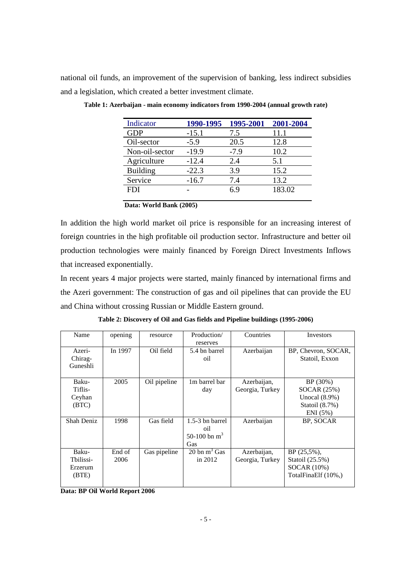national oil funds, an improvement of the supervision of banking, less indirect subsidies and a legislation, which created a better investment climate.

| Indicator       | 1990-1995 | 1995-2001 | 2001-2004 |
|-----------------|-----------|-----------|-----------|
| <b>GDP</b>      | $-15.1$   | 7.5       | 11.1      |
| Oil-sector      | $-5.9$    | 20.5      | 12.8      |
| Non-oil-sector  | $-19.9$   | $-7.9$    | 10.2      |
| Agriculture     | $-12.4$   | 2.4       | 5.1       |
| <b>Building</b> | $-22.3$   | 3.9       | 15.2      |
| Service         | $-16.7$   | 7.4       | 13.2      |
| <b>FDI</b>      |           | 69        | 183.02    |
|                 |           |           |           |

**Table 1: Azerbaijan - main economy indicators from 1990-2004 (annual growth rate)** 

|  |  |  |  | Data: World Bank (2005) |
|--|--|--|--|-------------------------|
|--|--|--|--|-------------------------|

In addition the high world market oil price is responsible for an increasing interest of foreign countries in the high profitable oil production sector. Infrastructure and better oil production technologies were mainly financed by Foreign Direct Investments Inflows that increased exponentially.

In recent years 4 major projects were started, mainly financed by international firms and the Azeri government: The construction of gas and oil pipelines that can provide the EU and China without crossing Russian or Middle Eastern ground.

| Table 2: Discovery of Oil and Gas fields and Pipeline buildings (1995-2006) |  |  |
|-----------------------------------------------------------------------------|--|--|
|                                                                             |  |  |

| Name                                   | opening        | resource     | Production/<br>reserves                            | Countries                      | Investors                                                                       |
|----------------------------------------|----------------|--------------|----------------------------------------------------|--------------------------------|---------------------------------------------------------------------------------|
| Azeri-<br>Chirag-<br>Guneshli          | In 1997        | Oil field    | 5.4 bn barrel<br>oil                               | Azerbaijan                     | BP, Chevron, SOCAR,<br>Statoil, Exxon                                           |
| Baku-<br>Tiflis-<br>Ceyhan<br>(BTC)    | 2005           | Oil pipeline | 1m barrel bar<br>day                               | Azerbaijan,<br>Georgia, Turkey | BP (30%)<br>$SOCAR$ $(25%)$<br>Unocal $(8.9\%)$<br>Statoil $(8.7\%)$<br>ENI(5%) |
| Shah Deniz                             | 1998           | Gas field    | $1.5-3$ bn barrel<br>oil<br>50-100 bn $m^3$<br>Gas | Azerbaijan                     | BP, SOCAR                                                                       |
| Baku-<br>Thilissi-<br>Erzerum<br>(BTE) | End of<br>2006 | Gas pipeline | 20 bn $m^3$ Gas<br>in $2012$                       | Azerbaijan,<br>Georgia, Turkey | $BP(25.5\%)$ .<br>Statoil (25.5%)<br>$SOCAR$ $(10\%)$<br>TotalFinaElf (10%,)    |

**Data: BP Oil World Report 2006**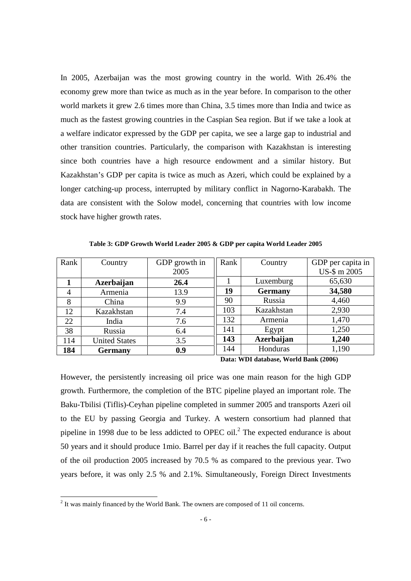In 2005, Azerbaijan was the most growing country in the world. With 26.4% the economy grew more than twice as much as in the year before. In comparison to the other world markets it grew 2.6 times more than China, 3.5 times more than India and twice as much as the fastest growing countries in the Caspian Sea region. But if we take a look at a welfare indicator expressed by the GDP per capita, we see a large gap to industrial and other transition countries. Particularly, the comparison with Kazakhstan is interesting since both countries have a high resource endowment and a similar history. But Kazakhstan's GDP per capita is twice as much as Azeri, which could be explained by a longer catching-up process, interrupted by military conflict in Nagorno-Karabakh. The data are consistent with the Solow model, concerning that countries with low income stock have higher growth rates.

**Table 3: GDP Growth World Leader 2005 & GDP per capita World Leader 2005** 

| Rank           | Country              | GDP growth in | Rank | Country        | GDP per capita in |
|----------------|----------------------|---------------|------|----------------|-------------------|
|                |                      | 2005          |      |                | US-\$ m 2005      |
|                | Azerbaijan           | 26.4          |      | Luxemburg      | 65,630            |
| $\overline{4}$ | Armenia              | 13.9          | 19   | <b>Germany</b> | 34,580            |
| 8              | China                | 9.9           | 90   | Russia         | 4,460             |
| 12             | Kazakhstan           | 7.4           | 103  | Kazakhstan     | 2,930             |
| 22             | India                | 7.6           | 132  | Armenia        | 1,470             |
| 38             | Russia               | 6.4           | 141  | Egypt          | 1,250             |
| 114            | <b>United States</b> | 3.5           | 143  | Azerbaijan     | 1,240             |
| 184            | <b>Germany</b>       | 0.9           | 144  | Honduras       | 1,190             |

**Data: WDI database, World Bank (2006)** 

However, the persistently increasing oil price was one main reason for the high GDP growth. Furthermore, the completion of the BTC pipeline played an important role. The Baku-Tbilisi (Tiflis)-Ceyhan pipeline completed in summer 2005 and transports Azeri oil to the EU by passing Georgia and Turkey. A western consortium had planned that pipeline in 1998 due to be less addicted to OPEC oil.<sup>2</sup> The expected endurance is about 50 years and it should produce 1mio. Barrel per day if it reaches the full capacity. Output of the oil production 2005 increased by 70.5 % as compared to the previous year. Two years before, it was only 2.5 % and 2.1%. Simultaneously, Foreign Direct Investments

<sup>&</sup>lt;sup>2</sup> It was mainly financed by the World Bank. The owners are composed of 11 oil concerns.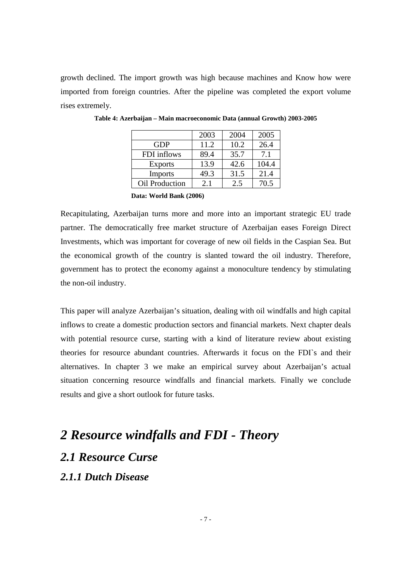growth declined. The import growth was high because machines and Know how were imported from foreign countries. After the pipeline was completed the export volume rises extremely.

|                       | 2003 | 2004 | 2005  |
|-----------------------|------|------|-------|
| <b>GDP</b>            | 11.2 | 10.2 | 26.4  |
| FDI inflows           | 89.4 | 35.7 | 7.1   |
| <b>Exports</b>        | 13.9 | 42.6 | 104.4 |
| <b>Imports</b>        | 49.3 | 31.5 | 21.4  |
| <b>Oil Production</b> | 2.1  | 2.5  | 70.5  |

**Table 4: Azerbaijan – Main macroeconomic Data (annual Growth) 2003-2005** 

 **Data: World Bank (2006)** 

Recapitulating, Azerbaijan turns more and more into an important strategic EU trade partner. The democratically free market structure of Azerbaijan eases Foreign Direct Investments, which was important for coverage of new oil fields in the Caspian Sea. But the economical growth of the country is slanted toward the oil industry. Therefore, government has to protect the economy against a monoculture tendency by stimulating the non-oil industry.

This paper will analyze Azerbaijan's situation, dealing with oil windfalls and high capital inflows to create a domestic production sectors and financial markets. Next chapter deals with potential resource curse, starting with a kind of literature review about existing theories for resource abundant countries. Afterwards it focus on the FDI`s and their alternatives. In chapter 3 we make an empirical survey about Azerbaijan's actual situation concerning resource windfalls and financial markets. Finally we conclude results and give a short outlook for future tasks.

# *2 Resource windfalls and FDI - Theory 2.1 Resource Curse 2.1.1 Dutch Disease*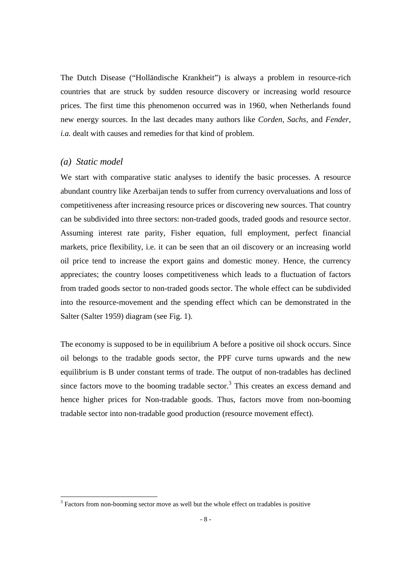The Dutch Disease ("Holländische Krankheit") is always a problem in resource-rich countries that are struck by sudden resource discovery or increasing world resource prices. The first time this phenomenon occurred was in 1960, when Netherlands found new energy sources. In the last decades many authors like *Corden, Sachs,* and *Fender, i.a.* dealt with causes and remedies for that kind of problem.

#### *(a) Static model*

We start with comparative static analyses to identify the basic processes. A resource abundant country like Azerbaijan tends to suffer from currency overvaluations and loss of competitiveness after increasing resource prices or discovering new sources. That country can be subdivided into three sectors: non-traded goods, traded goods and resource sector. Assuming interest rate parity, Fisher equation, full employment, perfect financial markets, price flexibility, i.e. it can be seen that an oil discovery or an increasing world oil price tend to increase the export gains and domestic money. Hence, the currency appreciates; the country looses competitiveness which leads to a fluctuation of factors from traded goods sector to non-traded goods sector. The whole effect can be subdivided into the resource-movement and the spending effect which can be demonstrated in the Salter (Salter 1959) diagram (see Fig. 1).

The economy is supposed to be in equilibrium A before a positive oil shock occurs. Since oil belongs to the tradable goods sector, the PPF curve turns upwards and the new equilibrium is B under constant terms of trade. The output of non-tradables has declined since factors move to the booming tradable sector. $3$  This creates an excess demand and hence higher prices for Non-tradable goods. Thus, factors move from non-booming tradable sector into non-tradable good production (resource movement effect).

<sup>&</sup>lt;sup>3</sup> Factors from non-booming sector move as well but the whole effect on tradables is positive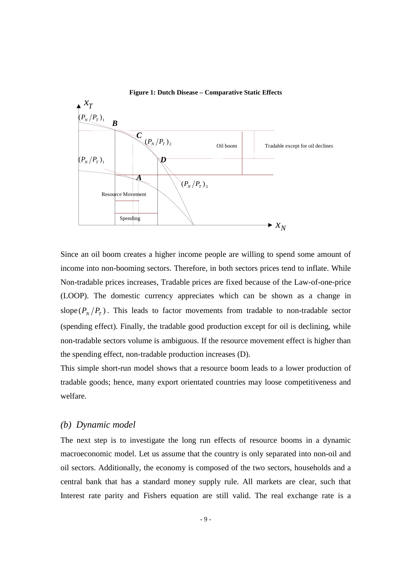

#### **Figure 1: Dutch Disease – Comparative Static Effects**

Since an oil boom creates a higher income people are willing to spend some amount of income into non-booming sectors. Therefore, in both sectors prices tend to inflate. While Non-tradable prices increases, Tradable prices are fixed because of the Law-of-one-price (LOOP). The domestic currency appreciates which can be shown as a change in slope  $(P_N/P_T)$ . This leads to factor movements from tradable to non-tradable sector (spending effect). Finally, the tradable good production except for oil is declining, while non-tradable sectors volume is ambiguous. If the resource movement effect is higher than the spending effect, non-tradable production increases (D).

This simple short-run model shows that a resource boom leads to a lower production of tradable goods; hence, many export orientated countries may loose competitiveness and welfare.

#### *(b) Dynamic model*

The next step is to investigate the long run effects of resource booms in a dynamic macroeconomic model. Let us assume that the country is only separated into non-oil and oil sectors. Additionally, the economy is composed of the two sectors, households and a central bank that has a standard money supply rule. All markets are clear, such that Interest rate parity and Fishers equation are still valid. The real exchange rate is a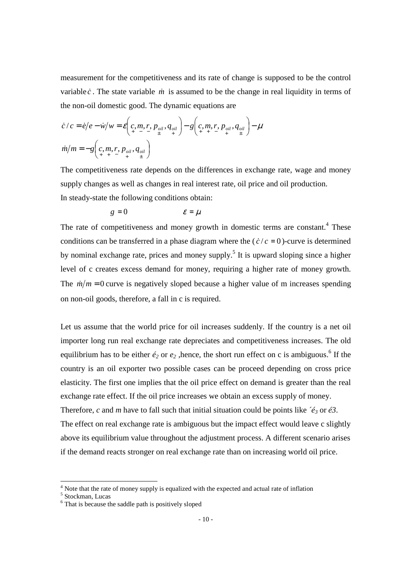measurement for the competitiveness and its rate of change is supposed to be the control variable  $\dot{c}$ . The state variable  $\dot{m}$  is assumed to be the change in real liquidity in terms of the non-oil domestic good. The dynamic equations are

$$
\dot{c}/c = \dot{e}/e - \dot{w}/w = \mathcal{E}\left(c, m, r, p_{oil}, q_{oil}\right) - g\left(c, m, r, p_{oil}, q_{oil}\right) - \mu
$$
  

$$
\dot{m}/m = -g\left(c, m, r, p_{oil}, q_{oil}\right)
$$

The competitiveness rate depends on the differences in exchange rate, wage and money supply changes as well as changes in real interest rate, oil price and oil production. In steady-state the following conditions obtain:

$$
g=0 \qquad \qquad \varepsilon=\mu
$$

The rate of competitiveness and money growth in domestic terms are constant.<sup>4</sup> These conditions can be transferred in a phase diagram where the  $(c/c = 0)$ -curve is determined by nominal exchange rate, prices and money supply.<sup>5</sup> It is upward sloping since a higher level of c creates excess demand for money, requiring a higher rate of money growth. The  $m/m = 0$  curve is negatively sloped because a higher value of m increases spending on non-oil goods, therefore, a fall in c is required.

Let us assume that the world price for oil increases suddenly. If the country is a net oil importer long run real exchange rate depreciates and competitiveness increases. The old equilibrium has to be either  $\acute{e}_2$  or  $\acute{e}_2$ , hence, the short run effect on c is ambiguous.<sup>6</sup> If the country is an oil exporter two possible cases can be proceed depending on cross price elasticity. The first one implies that the oil price effect on demand is greater than the real exchange rate effect. If the oil price increases we obtain an excess supply of money. Therefore, *c* and *m* have to fall such that initial situation could be points like *´é<sup>3</sup>* or *é3*. The effect on real exchange rate is ambiguous but the impact effect would leave c slightly above its equilibrium value throughout the adjustment process. A different scenario arises if the demand reacts stronger on real exchange rate than on increasing world oil price.

<sup>&</sup>lt;sup>4</sup> Note that the rate of money supply is equalized with the expected and actual rate of inflation <sup>5</sup> Stockman, Lucas

<sup>&</sup>lt;sup>6</sup> That is because the saddle path is positively sloped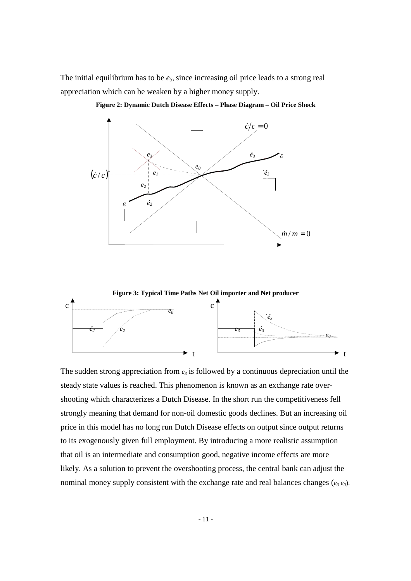The initial equilibrium has to be *e3*, since increasing oil price leads to a strong real appreciation which can be weaken by a higher money supply.



**Figure 2: Dynamic Dutch Disease Effects – Phase Diagram – Oil Price Shock** 



The sudden strong appreciation from  $e_3$  is followed by a continuous depreciation until the steady state values is reached. This phenomenon is known as an exchange rate overshooting which characterizes a Dutch Disease. In the short run the competitiveness fell strongly meaning that demand for non-oil domestic goods declines. But an increasing oil price in this model has no long run Dutch Disease effects on output since output returns to its exogenously given full employment. By introducing a more realistic assumption that oil is an intermediate and consumption good, negative income effects are more likely. As a solution to prevent the overshooting process, the central bank can adjust the nominal money supply consistent with the exchange rate and real balances changes (*e3 e0*).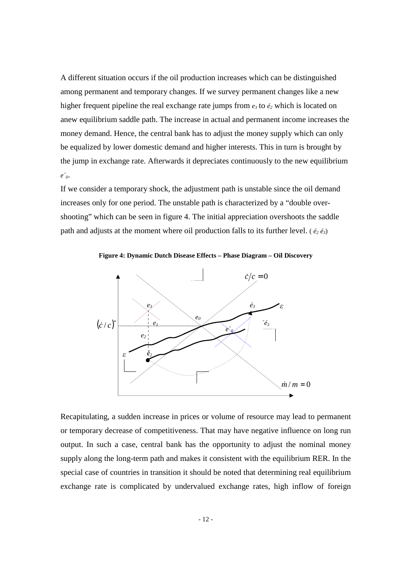A different situation occurs if the oil production increases which can be distinguished among permanent and temporary changes. If we survey permanent changes like a new higher frequent pipeline the real exchange rate jumps from  $e_3$  to  $\acute{e}_2$  which is located on anew equilibrium saddle path. The increase in actual and permanent income increases the money demand. Hence, the central bank has to adjust the money supply which can only be equalized by lower domestic demand and higher interests. This in turn is brought by the jump in exchange rate. Afterwards it depreciates continuously to the new equilibrium *e´0*.

If we consider a temporary shock, the adjustment path is unstable since the oil demand increases only for one period. The unstable path is characterized by a "double overshooting" which can be seen in figure 4. The initial appreciation overshoots the saddle path and adjusts at the moment where oil production falls to its further level. ( $\epsilon_2 \epsilon_3$ )

**Figure 4: Dynamic Dutch Disease Effects – Phase Diagram – Oil Discovery** 



Recapitulating, a sudden increase in prices or volume of resource may lead to permanent or temporary decrease of competitiveness. That may have negative influence on long run output. In such a case, central bank has the opportunity to adjust the nominal money supply along the long-term path and makes it consistent with the equilibrium RER. In the special case of countries in transition it should be noted that determining real equilibrium exchange rate is complicated by undervalued exchange rates, high inflow of foreign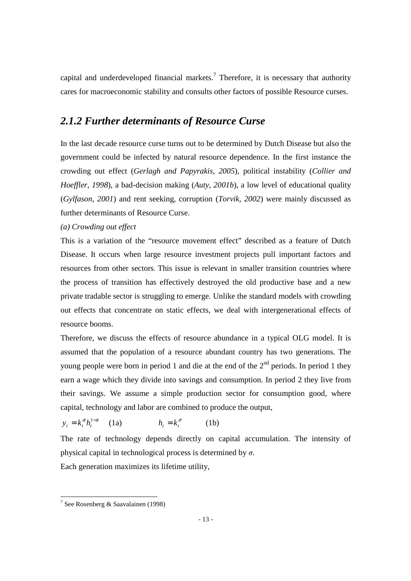capital and underdeveloped financial markets.<sup>7</sup> Therefore, it is necessary that authority cares for macroeconomic stability and consults other factors of possible Resource curses.

## *2.1.2 Further determinants of Resource Curse*

In the last decade resource curse turns out to be determined by Dutch Disease but also the government could be infected by natural resource dependence. In the first instance the crowding out effect (*Gerlagh and Papyrakis, 2005*), political instability (*Collier and Hoeffler, 1998*), a bad-decision making (*Auty, 2001b*), a low level of educational quality (*Gylfason, 2001*) and rent seeking, corruption (*Torvik, 2002*) were mainly discussed as further determinants of Resource Curse.

#### *(a) Crowding out effect*

This is a variation of the "resource movement effect" described as a feature of Dutch Disease. It occurs when large resource investment projects pull important factors and resources from other sectors. This issue is relevant in smaller transition countries where the process of transition has effectively destroyed the old productive base and a new private tradable sector is struggling to emerge. Unlike the standard models with crowding out effects that concentrate on static effects, we deal with intergenerational effects of resource booms.

Therefore, we discuss the effects of resource abundance in a typical OLG model. It is assumed that the population of a resource abundant country has two generations. The young people were born in period 1 and die at the end of the  $2<sup>nd</sup>$  periods. In period 1 they earn a wage which they divide into savings and consumption. In period 2 they live from their savings. We assume a simple production sector for consumption good, where capital, technology and labor are combined to produce the output,

 $y_t = k_t^{\alpha} h_t^{1-\alpha}$  (1a)  $h_t = k_t^{\sigma}$  $h_t = k_t^{\sigma}$  (1b)

The rate of technology depends directly on capital accumulation. The intensity of physical capital in technological process is determined by  $\sigma$ .

Each generation maximizes its lifetime utility,

 7 See Rosenberg & Saavalainen (1998)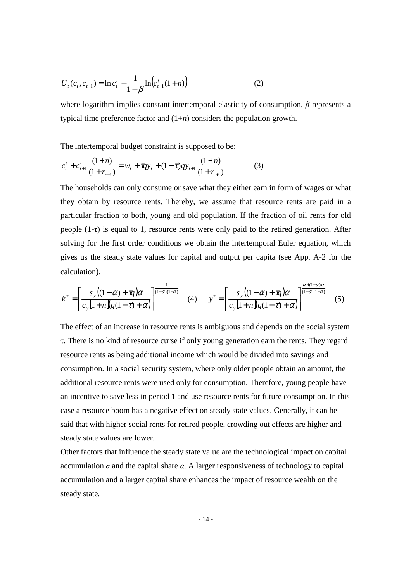$$
U_{t}(c_{t}, c_{t+1}) = \ln c_{t}^{t} + \frac{1}{1+\beta} \ln \left( c_{t+1}^{t}(1+n) \right)
$$
 (2)

where logarithm implies constant intertemporal elasticity of consumption,  $\beta$  represents a typical time preference factor and (1+*n*) considers the population growth.

The intertemporal budget constraint is supposed to be:

$$
c_t^t + c_{t+1}^t \frac{(1+n)}{(1+r_{t+1})} = w_t + \pi q y_t + (1-\tau) q y_{t+1} \frac{(1+n)}{(1+r_{t+1})}
$$
(3)

The households can only consume or save what they either earn in form of wages or what they obtain by resource rents. Thereby, we assume that resource rents are paid in a particular fraction to both, young and old population. If the fraction of oil rents for old people  $(1-\tau)$  is equal to 1, resource rents were only paid to the retired generation. After solving for the first order conditions we obtain the intertemporal Euler equation, which gives us the steady state values for capital and output per capita (see App. A-2 for the calculation).

$$
k^* = \left[\frac{s_y\left((1-\alpha)+\pi\right)\alpha}{c_y\left[1+n\right]\left(q(1-\tau)+\alpha\right)}\right]^{\frac{1}{(1-\alpha)(1-\sigma)}}\tag{4}\qquad\ny^* = \left[\frac{s_y\left((1-\alpha)+\pi\right)\alpha}{c_y\left[1+n\right]\left(q(1-\tau)+\alpha\right)}\right]^{\frac{\alpha+(1-\alpha)\sigma}{(1-\alpha)(1-\sigma)}}\tag{5}
$$

The effect of an increase in resource rents is ambiguous and depends on the social system τ. There is no kind of resource curse if only young generation earn the rents. They regard resource rents as being additional income which would be divided into savings and consumption. In a social security system, where only older people obtain an amount, the additional resource rents were used only for consumption. Therefore, young people have an incentive to save less in period 1 and use resource rents for future consumption. In this case a resource boom has a negative effect on steady state values. Generally, it can be said that with higher social rents for retired people, crowding out effects are higher and steady state values are lower.

Other factors that influence the steady state value are the technological impact on capital accumulation  $\sigma$  and the capital share  $\alpha$ . A larger responsiveness of technology to capital accumulation and a larger capital share enhances the impact of resource wealth on the steady state.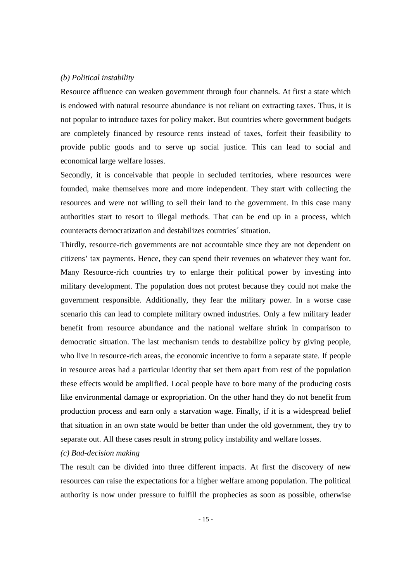#### *(b) Political instability*

Resource affluence can weaken government through four channels. At first a state which is endowed with natural resource abundance is not reliant on extracting taxes. Thus, it is not popular to introduce taxes for policy maker. But countries where government budgets are completely financed by resource rents instead of taxes, forfeit their feasibility to provide public goods and to serve up social justice. This can lead to social and economical large welfare losses.

Secondly, it is conceivable that people in secluded territories, where resources were founded, make themselves more and more independent. They start with collecting the resources and were not willing to sell their land to the government. In this case many authorities start to resort to illegal methods. That can be end up in a process, which counteracts democratization and destabilizes countries´ situation.

Thirdly, resource-rich governments are not accountable since they are not dependent on citizens' tax payments. Hence, they can spend their revenues on whatever they want for. Many Resource-rich countries try to enlarge their political power by investing into military development. The population does not protest because they could not make the government responsible. Additionally, they fear the military power. In a worse case scenario this can lead to complete military owned industries. Only a few military leader benefit from resource abundance and the national welfare shrink in comparison to democratic situation. The last mechanism tends to destabilize policy by giving people, who live in resource-rich areas, the economic incentive to form a separate state. If people in resource areas had a particular identity that set them apart from rest of the population these effects would be amplified. Local people have to bore many of the producing costs like environmental damage or expropriation. On the other hand they do not benefit from production process and earn only a starvation wage. Finally, if it is a widespread belief that situation in an own state would be better than under the old government, they try to separate out. All these cases result in strong policy instability and welfare losses.

#### *(c) Bad-decision making*

The result can be divided into three different impacts. At first the discovery of new resources can raise the expectations for a higher welfare among population. The political authority is now under pressure to fulfill the prophecies as soon as possible, otherwise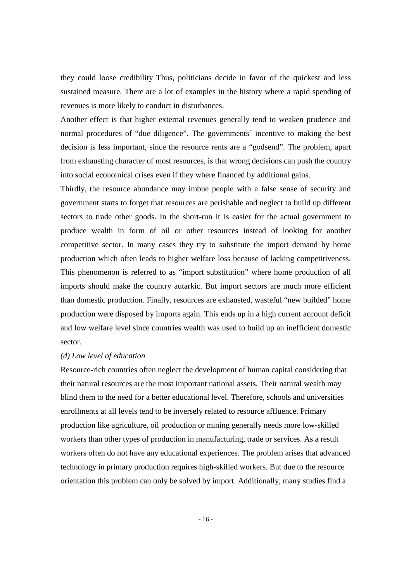they could loose credibility Thus, politicians decide in favor of the quickest and less sustained measure. There are a lot of examples in the history where a rapid spending of revenues is more likely to conduct in disturbances.

Another effect is that higher external revenues generally tend to weaken prudence and normal procedures of "due diligence". The governments' incentive to making the best decision is less important, since the resource rents are a "godsend". The problem, apart from exhausting character of most resources, is that wrong decisions can push the country into social economical crises even if they where financed by additional gains.

Thirdly, the resource abundance may imbue people with a false sense of security and government starts to forget that resources are perishable and neglect to build up different sectors to trade other goods. In the short-run it is easier for the actual government to produce wealth in form of oil or other resources instead of looking for another competitive sector. In many cases they try to substitute the import demand by home production which often leads to higher welfare loss because of lacking competitiveness. This phenomenon is referred to as "import substitution" where home production of all imports should make the country autarkic. But import sectors are much more efficient than domestic production. Finally, resources are exhausted, wasteful "new builded" home production were disposed by imports again. This ends up in a high current account deficit and low welfare level since countries wealth was used to build up an inefficient domestic sector.

#### *(d) Low level of education*

Resource-rich countries often neglect the development of human capital considering that their natural resources are the most important national assets. Their natural wealth may blind them to the need for a better educational level. Therefore, schools and universities enrollments at all levels tend to be inversely related to resource affluence. Primary production like agriculture, oil production or mining generally needs more low-skilled workers than other types of production in manufacturing, trade or services. As a result workers often do not have any educational experiences. The problem arises that advanced technology in primary production requires high-skilled workers. But due to the resource orientation this problem can only be solved by import. Additionally, many studies find a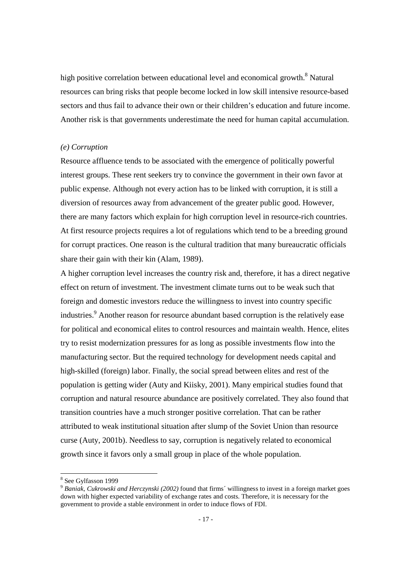high positive correlation between educational level and economical growth.<sup>8</sup> Natural resources can bring risks that people become locked in low skill intensive resource-based sectors and thus fail to advance their own or their children's education and future income. Another risk is that governments underestimate the need for human capital accumulation.

#### *(e) Corruption*

Resource affluence tends to be associated with the emergence of politically powerful interest groups. These rent seekers try to convince the government in their own favor at public expense. Although not every action has to be linked with corruption, it is still a diversion of resources away from advancement of the greater public good. However, there are many factors which explain for high corruption level in resource-rich countries. At first resource projects requires a lot of regulations which tend to be a breeding ground for corrupt practices. One reason is the cultural tradition that many bureaucratic officials share their gain with their kin (Alam, 1989).

A higher corruption level increases the country risk and, therefore, it has a direct negative effect on return of investment. The investment climate turns out to be weak such that foreign and domestic investors reduce the willingness to invest into country specific industries.<sup>9</sup> Another reason for resource abundant based corruption is the relatively ease for political and economical elites to control resources and maintain wealth. Hence, elites try to resist modernization pressures for as long as possible investments flow into the manufacturing sector. But the required technology for development needs capital and high-skilled (foreign) labor. Finally, the social spread between elites and rest of the population is getting wider (Auty and Kiisky, 2001). Many empirical studies found that corruption and natural resource abundance are positively correlated. They also found that transition countries have a much stronger positive correlation. That can be rather attributed to weak institutional situation after slump of the Soviet Union than resource curse (Auty, 2001b). Needless to say, corruption is negatively related to economical growth since it favors only a small group in place of the whole population.

-

<sup>8</sup> See Gylfasson 1999

<sup>9</sup> *Baniak, Cukrowski and Herczynski (2002)* found that firms´ willingness to invest in a foreign market goes down with higher expected variability of exchange rates and costs. Therefore, it is necessary for the government to provide a stable environment in order to induce flows of FDI.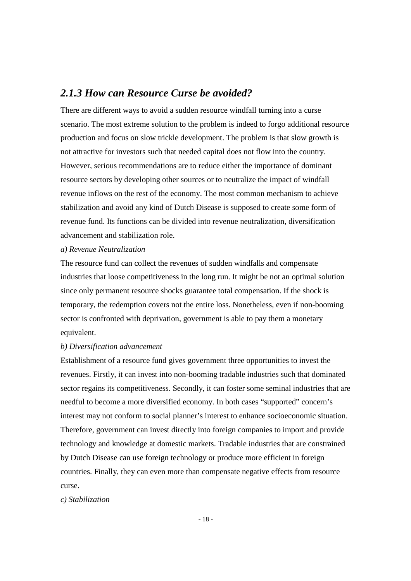## *2.1.3 How can Resource Curse be avoided?*

There are different ways to avoid a sudden resource windfall turning into a curse scenario. The most extreme solution to the problem is indeed to forgo additional resource production and focus on slow trickle development. The problem is that slow growth is not attractive for investors such that needed capital does not flow into the country. However, serious recommendations are to reduce either the importance of dominant resource sectors by developing other sources or to neutralize the impact of windfall revenue inflows on the rest of the economy. The most common mechanism to achieve stabilization and avoid any kind of Dutch Disease is supposed to create some form of revenue fund. Its functions can be divided into revenue neutralization, diversification advancement and stabilization role.

#### *a) Revenue Neutralization*

The resource fund can collect the revenues of sudden windfalls and compensate industries that loose competitiveness in the long run. It might be not an optimal solution since only permanent resource shocks guarantee total compensation. If the shock is temporary, the redemption covers not the entire loss. Nonetheless, even if non-booming sector is confronted with deprivation, government is able to pay them a monetary equivalent.

#### *b) Diversification advancement*

Establishment of a resource fund gives government three opportunities to invest the revenues. Firstly, it can invest into non-booming tradable industries such that dominated sector regains its competitiveness. Secondly, it can foster some seminal industries that are needful to become a more diversified economy. In both cases "supported" concern's interest may not conform to social planner's interest to enhance socioeconomic situation. Therefore, government can invest directly into foreign companies to import and provide technology and knowledge at domestic markets. Tradable industries that are constrained by Dutch Disease can use foreign technology or produce more efficient in foreign countries. Finally, they can even more than compensate negative effects from resource curse.

#### *c) Stabilization*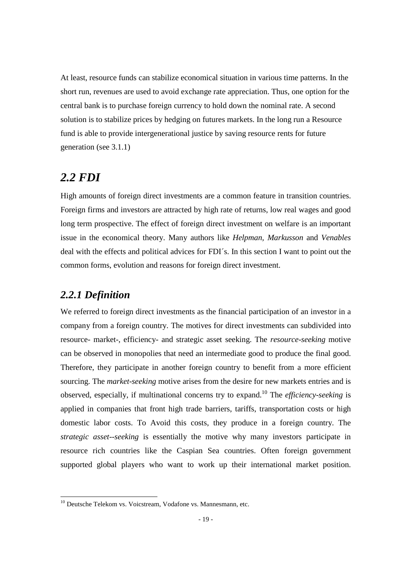At least, resource funds can stabilize economical situation in various time patterns. In the short run, revenues are used to avoid exchange rate appreciation. Thus, one option for the central bank is to purchase foreign currency to hold down the nominal rate. A second solution is to stabilize prices by hedging on futures markets. In the long run a Resource fund is able to provide intergenerational justice by saving resource rents for future generation (see 3.1.1)

## *2.2 FDI*

High amounts of foreign direct investments are a common feature in transition countries. Foreign firms and investors are attracted by high rate of returns, low real wages and good long term prospective. The effect of foreign direct investment on welfare is an important issue in the economical theory. Many authors like *Helpman, Markusson* and *Venables* deal with the effects and political advices for FDI´s. In this section I want to point out the common forms, evolution and reasons for foreign direct investment.

## *2.2.1 Definition*

-

We referred to foreign direct investments as the financial participation of an investor in a company from a foreign country. The motives for direct investments can subdivided into resource- market-, efficiency- and strategic asset seeking. The *resource-seeking* motive can be observed in monopolies that need an intermediate good to produce the final good. Therefore, they participate in another foreign country to benefit from a more efficient sourcing. The *market-seeking* motive arises from the desire for new markets entries and is observed, especially, if multinational concerns try to expand.<sup>10</sup> The *efficiency-seeking* is applied in companies that front high trade barriers, tariffs, transportation costs or high domestic labor costs. To Avoid this costs, they produce in a foreign country. The *strategic asset--seeking* is essentially the motive why many investors participate in resource rich countries like the Caspian Sea countries. Often foreign government supported global players who want to work up their international market position.

<sup>&</sup>lt;sup>10</sup> Deutsche Telekom vs. Voicstream, Vodafone vs. Mannesmann, etc.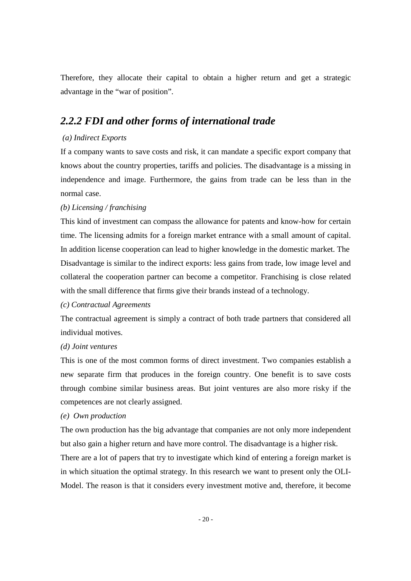Therefore, they allocate their capital to obtain a higher return and get a strategic advantage in the "war of position".

## *2.2.2 FDI and other forms of international trade*

#### *(a) Indirect Exports*

If a company wants to save costs and risk, it can mandate a specific export company that knows about the country properties, tariffs and policies. The disadvantage is a missing in independence and image. Furthermore, the gains from trade can be less than in the normal case.

#### *(b) Licensing / franchising*

This kind of investment can compass the allowance for patents and know-how for certain time. The licensing admits for a foreign market entrance with a small amount of capital. In addition license cooperation can lead to higher knowledge in the domestic market. The Disadvantage is similar to the indirect exports: less gains from trade, low image level and collateral the cooperation partner can become a competitor. Franchising is close related with the small difference that firms give their brands instead of a technology.

#### *(c) Contractual Agreements*

The contractual agreement is simply a contract of both trade partners that considered all individual motives.

#### *(d) Joint ventures*

This is one of the most common forms of direct investment. Two companies establish a new separate firm that produces in the foreign country. One benefit is to save costs through combine similar business areas. But joint ventures are also more risky if the competences are not clearly assigned.

#### *(e) Own production*

The own production has the big advantage that companies are not only more independent but also gain a higher return and have more control. The disadvantage is a higher risk.

There are a lot of papers that try to investigate which kind of entering a foreign market is in which situation the optimal strategy. In this research we want to present only the OLI-Model. The reason is that it considers every investment motive and, therefore, it become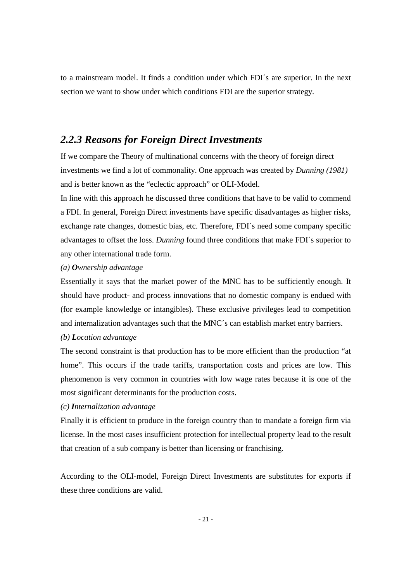to a mainstream model. It finds a condition under which FDI´s are superior. In the next section we want to show under which conditions FDI are the superior strategy.

### *2.2.3 Reasons for Foreign Direct Investments*

If we compare the Theory of multinational concerns with the theory of foreign direct investments we find a lot of commonality. One approach was created by *Dunning (1981)* and is better known as the "eclectic approach" or OLI-Model.

In line with this approach he discussed three conditions that have to be valid to commend a FDI. In general, Foreign Direct investments have specific disadvantages as higher risks, exchange rate changes, domestic bias, etc. Therefore, FDI´s need some company specific advantages to offset the loss. *Dunning* found three conditions that make FDI´s superior to any other international trade form.

#### *(a) Ownership advantage*

Essentially it says that the market power of the MNC has to be sufficiently enough. It should have product- and process innovations that no domestic company is endued with (for example knowledge or intangibles). These exclusive privileges lead to competition and internalization advantages such that the MNC´s can establish market entry barriers.

#### *(b) Location advantage*

The second constraint is that production has to be more efficient than the production "at home". This occurs if the trade tariffs, transportation costs and prices are low. This phenomenon is very common in countries with low wage rates because it is one of the most significant determinants for the production costs.

#### *(c) Internalization advantage*

Finally it is efficient to produce in the foreign country than to mandate a foreign firm via license. In the most cases insufficient protection for intellectual property lead to the result that creation of a sub company is better than licensing or franchising.

According to the OLI-model, Foreign Direct Investments are substitutes for exports if these three conditions are valid.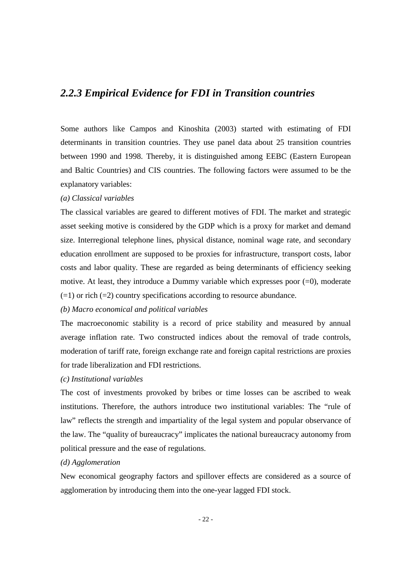## *2.2.3 Empirical Evidence for FDI in Transition countries*

Some authors like Campos and Kinoshita (2003) started with estimating of FDI determinants in transition countries. They use panel data about 25 transition countries between 1990 and 1998. Thereby, it is distinguished among EEBC (Eastern European and Baltic Countries) and CIS countries. The following factors were assumed to be the explanatory variables:

#### *(a) Classical variables*

The classical variables are geared to different motives of FDI. The market and strategic asset seeking motive is considered by the GDP which is a proxy for market and demand size. Interregional telephone lines, physical distance, nominal wage rate, and secondary education enrollment are supposed to be proxies for infrastructure, transport costs, labor costs and labor quality. These are regarded as being determinants of efficiency seeking motive. At least, they introduce a Dummy variable which expresses poor  $(=0)$ , moderate  $(=1)$  or rich  $(=2)$  country specifications according to resource abundance.

#### *(b) Macro economical and political variables*

The macroeconomic stability is a record of price stability and measured by annual average inflation rate. Two constructed indices about the removal of trade controls, moderation of tariff rate, foreign exchange rate and foreign capital restrictions are proxies for trade liberalization and FDI restrictions.

#### *(c) Institutional variables*

The cost of investments provoked by bribes or time losses can be ascribed to weak institutions. Therefore, the authors introduce two institutional variables: The "rule of law" reflects the strength and impartiality of the legal system and popular observance of the law. The "quality of bureaucracy" implicates the national bureaucracy autonomy from political pressure and the ease of regulations.

#### *(d) Agglomeration*

New economical geography factors and spillover effects are considered as a source of agglomeration by introducing them into the one-year lagged FDI stock.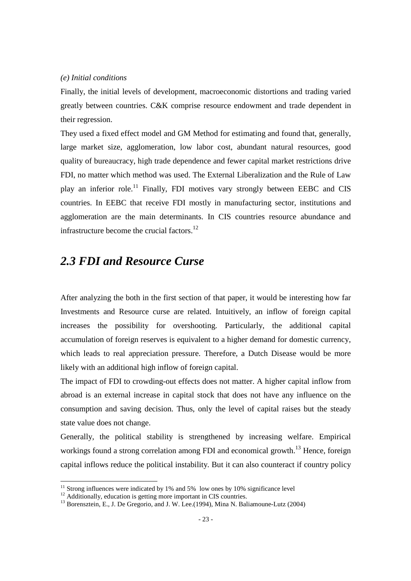#### *(e) Initial conditions*

Finally, the initial levels of development, macroeconomic distortions and trading varied greatly between countries. C&K comprise resource endowment and trade dependent in their regression.

They used a fixed effect model and GM Method for estimating and found that, generally, large market size, agglomeration, low labor cost, abundant natural resources, good quality of bureaucracy, high trade dependence and fewer capital market restrictions drive FDI, no matter which method was used. The External Liberalization and the Rule of Law play an inferior role.<sup>11</sup> Finally, FDI motives vary strongly between EEBC and CIS countries. In EEBC that receive FDI mostly in manufacturing sector, institutions and agglomeration are the main determinants. In CIS countries resource abundance and infrastructure become the crucial factors.<sup>12</sup>

## *2.3 FDI and Resource Curse*

After analyzing the both in the first section of that paper, it would be interesting how far Investments and Resource curse are related. Intuitively, an inflow of foreign capital increases the possibility for overshooting. Particularly, the additional capital accumulation of foreign reserves is equivalent to a higher demand for domestic currency, which leads to real appreciation pressure. Therefore, a Dutch Disease would be more likely with an additional high inflow of foreign capital.

The impact of FDI to crowding-out effects does not matter. A higher capital inflow from abroad is an external increase in capital stock that does not have any influence on the consumption and saving decision. Thus, only the level of capital raises but the steady state value does not change.

Generally, the political stability is strengthened by increasing welfare. Empirical workings found a strong correlation among FDI and economical growth.<sup>13</sup> Hence, foreign capital inflows reduce the political instability. But it can also counteract if country policy

-

 $11$  Strong influences were indicated by 1% and 5% low ones by 10% significance level

<sup>&</sup>lt;sup>12</sup> Additionally, education is getting more important in CIS countries.

<sup>&</sup>lt;sup>13</sup> Borensztein, E., J. De Gregorio, and J. W. Lee.(1994), Mina N. Baliamoune-Lutz (2004)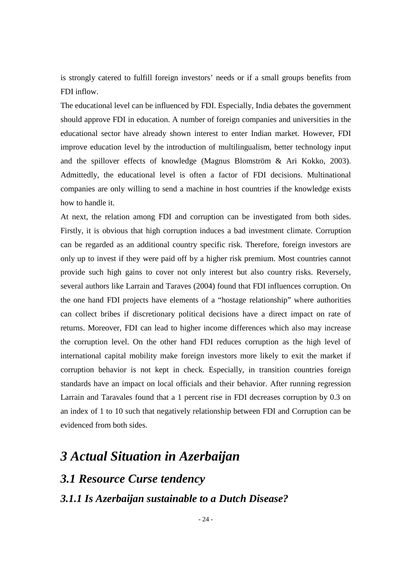is strongly catered to fulfill foreign investors' needs or if a small groups benefits from FDI inflow.

The educational level can be influenced by FDI. Especially, India debates the government should approve FDI in education. A number of foreign companies and universities in the educational sector have already shown interest to enter Indian market. However, FDI improve education level by the introduction of multilingualism, better technology input and the spillover effects of knowledge (Magnus Blomström & Ari Kokko, 2003). Admittedly, the educational level is often a factor of FDI decisions. Multinational companies are only willing to send a machine in host countries if the knowledge exists how to handle it.

At next, the relation among FDI and corruption can be investigated from both sides. Firstly, it is obvious that high corruption induces a bad investment climate. Corruption can be regarded as an additional country specific risk. Therefore, foreign investors are only up to invest if they were paid off by a higher risk premium. Most countries cannot provide such high gains to cover not only interest but also country risks. Reversely, several authors like Larrain and Taraves (2004) found that FDI influences corruption. On the one hand FDI projects have elements of a "hostage relationship" where authorities can collect bribes if discretionary political decisions have a direct impact on rate of returns. Moreover, FDI can lead to higher income differences which also may increase the corruption level. On the other hand FDI reduces corruption as the high level of international capital mobility make foreign investors more likely to exit the market if corruption behavior is not kept in check. Especially, in transition countries foreign standards have an impact on local officials and their behavior. After running regression Larrain and Taravales found that a 1 percent rise in FDI decreases corruption by 0.3 on an index of 1 to 10 such that negatively relationship between FDI and Corruption can be evidenced from both sides.

## *3 Actual Situation in Azerbaijan*

## *3.1 Resource Curse tendency*

### *3.1.1 Is Azerbaijan sustainable to a Dutch Disease?*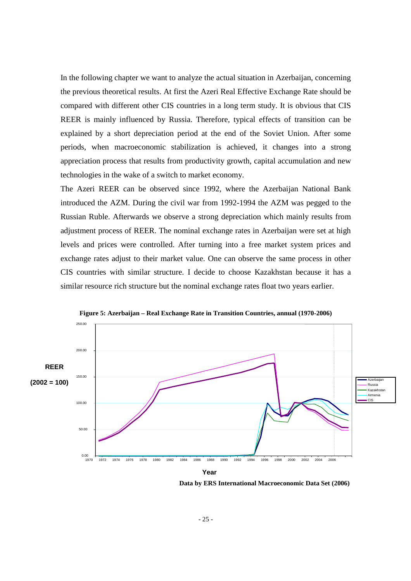In the following chapter we want to analyze the actual situation in Azerbaijan, concerning the previous theoretical results. At first the Azeri Real Effective Exchange Rate should be compared with different other CIS countries in a long term study. It is obvious that CIS REER is mainly influenced by Russia. Therefore, typical effects of transition can be explained by a short depreciation period at the end of the Soviet Union. After some periods, when macroeconomic stabilization is achieved, it changes into a strong appreciation process that results from productivity growth, capital accumulation and new technologies in the wake of a switch to market economy.

The Azeri REER can be observed since 1992, where the Azerbaijan National Bank introduced the AZM. During the civil war from 1992-1994 the AZM was pegged to the Russian Ruble. Afterwards we observe a strong depreciation which mainly results from adjustment process of REER. The nominal exchange rates in Azerbaijan were set at high levels and prices were controlled. After turning into a free market system prices and exchange rates adjust to their market value. One can observe the same process in other CIS countries with similar structure. I decide to choose Kazakhstan because it has a similar resource rich structure but the nominal exchange rates float two years earlier.



**Figure 5: Azerbaijan – Real Exchange Rate in Transition Countries, annual (1970-2006)** 

 **Data by ERS International Macroeconomic Data Set (2006)**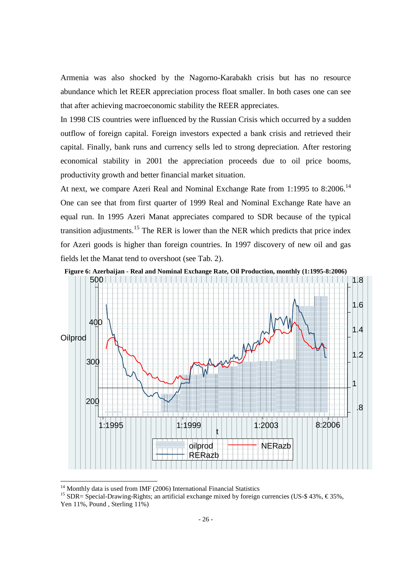Armenia was also shocked by the Nagorno-Karabakh crisis but has no resource abundance which let REER appreciation process float smaller. In both cases one can see that after achieving macroeconomic stability the REER appreciates.

In 1998 CIS countries were influenced by the Russian Crisis which occurred by a sudden outflow of foreign capital. Foreign investors expected a bank crisis and retrieved their capital. Finally, bank runs and currency sells led to strong depreciation. After restoring economical stability in 2001 the appreciation proceeds due to oil price booms, productivity growth and better financial market situation.

At next, we compare Azeri Real and Nominal Exchange Rate from 1:1995 to 8:2006.<sup>14</sup> One can see that from first quarter of 1999 Real and Nominal Exchange Rate have an equal run. In 1995 Azeri Manat appreciates compared to SDR because of the typical transition adjustments.<sup>15</sup> The RER is lower than the NER which predicts that price index for Azeri goods is higher than foreign countries. In 1997 discovery of new oil and gas fields let the Manat tend to overshoot (see Tab. 2).



 $14$  Monthly data is used from IMF (2006) International Financial Statistics

<sup>&</sup>lt;sup>15</sup> SDR= Special-Drawing-Rights; an artificial exchange mixed by foreign currencies (US-\$ 43%,  $\in$  35%, Yen 11%, Pound , Sterling 11%)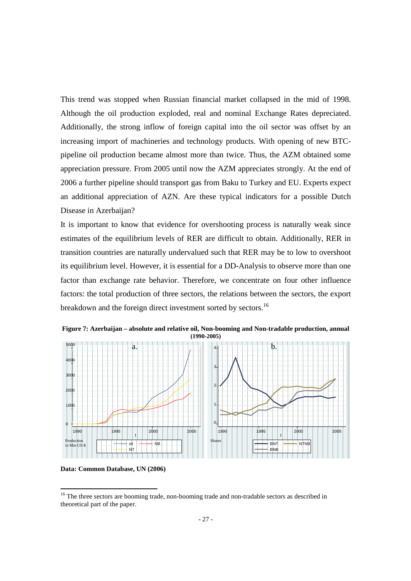This trend was stopped when Russian financial market collapsed in the mid of 1998. Although the oil production exploded, real and nominal Exchange Rates depreciated. Additionally, the strong inflow of foreign capital into the oil sector was offset by an increasing import of machineries and technology products. With opening of new BTCpipeline oil production became almost more than twice. Thus, the AZM obtained some appreciation pressure. From 2005 until now the AZM appreciates strongly. At the end of 2006 a further pipeline should transport gas from Baku to Turkey and EU. Experts expect an additional appreciation of AZN. Are these typical indicators for a possible Dutch Disease in Azerbaijan?

It is important to know that evidence for overshooting process is naturally weak since estimates of the equilibrium levels of RER are difficult to obtain. Additionally, RER in transition countries are naturally undervalued such that RER may be to low to overshoot its equilibrium level. However, it is essential for a DD-Analysis to observe more than one factor than exchange rate behavior. Therefore, we concentrate on four other influence factors: the total production of three sectors, the relations between the sectors, the export breakdown and the foreign direct investment sorted by sectors.<sup>16</sup>



**Figure 7: Azerbaijan – absolute and relative oil, Non-booming and Non-tradable production, annual (1990-2005)**

**Data: Common Database, UN (2006)** 

<u>.</u>

<sup>&</sup>lt;sup>16</sup> The three sectors are booming trade, non-booming trade and non-tradable sectors as described in theoretical part of the paper.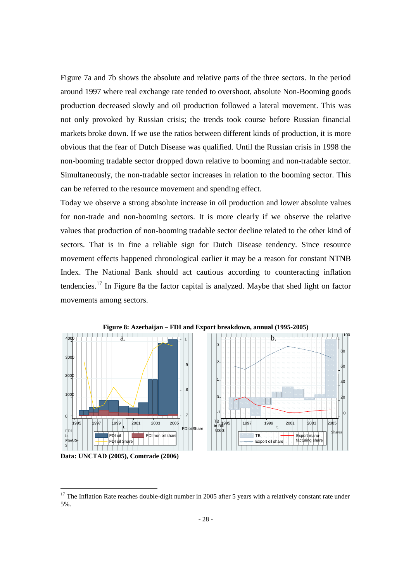Figure 7a and 7b shows the absolute and relative parts of the three sectors. In the period around 1997 where real exchange rate tended to overshoot, absolute Non-Booming goods production decreased slowly and oil production followed a lateral movement. This was not only provoked by Russian crisis; the trends took course before Russian financial markets broke down. If we use the ratios between different kinds of production, it is more obvious that the fear of Dutch Disease was qualified. Until the Russian crisis in 1998 the non-booming tradable sector dropped down relative to booming and non-tradable sector. Simultaneously, the non-tradable sector increases in relation to the booming sector. This can be referred to the resource movement and spending effect.

Today we observe a strong absolute increase in oil production and lower absolute values for non-trade and non-booming sectors. It is more clearly if we observe the relative values that production of non-booming tradable sector decline related to the other kind of sectors. That is in fine a reliable sign for Dutch Disease tendency. Since resource movement effects happened chronological earlier it may be a reason for constant NTNB Index. The National Bank should act cautious according to counteracting inflation tendencies.<sup>17</sup> In Figure 8a the factor capital is analyzed. Maybe that shed light on factor movements among sectors.



**Data: UNCTAD (2005), Comtrade (2006)** 

<u>.</u>

 $17$  The Inflation Rate reaches double-digit number in 2005 after 5 years with a relatively constant rate under 5%.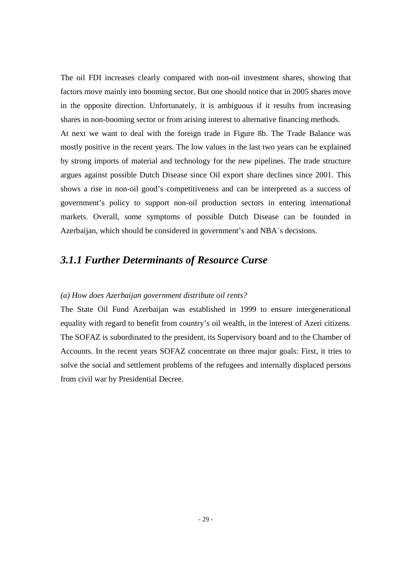The oil FDI increases clearly compared with non-oil investment shares, showing that factors move mainly into booming sector. But one should notice that in 2005 shares move in the opposite direction. Unfortunately, it is ambiguous if it results from increasing shares in non-booming sector or from arising interest to alternative financing methods. At next we want to deal with the foreign trade in Figure 8b. The Trade Balance was mostly positive in the recent years. The low values in the last two years can be explained by strong imports of material and technology for the new pipelines. The trade structure argues against possible Dutch Disease since Oil export share declines since 2001. This shows a rise in non-oil good's competitiveness and can be interpreted as a success of government's policy to support non-oil production sectors in entering international markets. Overall, some symptoms of possible Dutch Disease can be founded in Azerbaijan, which should be considered in government's and NBA`s decisions.

## *3.1.1 Further Determinants of Resource Curse*

#### *(a) How does Azerbaijan government distribute oil rents?*

The State Oil Fund Azerbaijan was established in 1999 to ensure intergenerational equality with regard to benefit from country's oil wealth, in the interest of Azeri citizens. The SOFAZ is subordinated to the president, its Supervisory board and to the Chamber of Accounts. In the recent years SOFAZ concentrate on three major goals: First, it tries to solve the social and settlement problems of the refugees and internally displaced persons from civil war by Presidential Decree.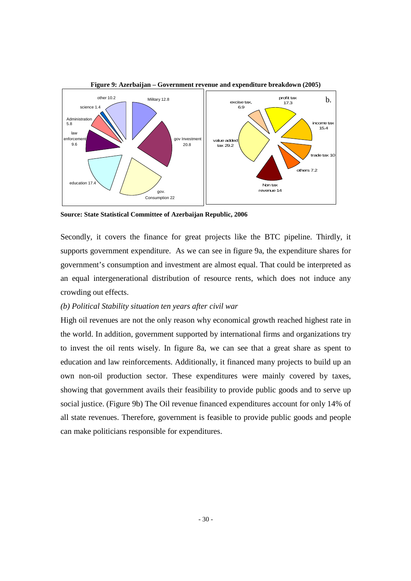

**Source: State Statistical Committee of Azerbaijan Republic, 2006** 

Secondly, it covers the finance for great projects like the BTC pipeline. Thirdly, it supports government expenditure. As we can see in figure 9a, the expenditure shares for government's consumption and investment are almost equal. That could be interpreted as an equal intergenerational distribution of resource rents, which does not induce any crowding out effects.

#### *(b) Political Stability situation ten years after civil war*

High oil revenues are not the only reason why economical growth reached highest rate in the world. In addition, government supported by international firms and organizations try to invest the oil rents wisely. In figure 8a, we can see that a great share as spent to education and law reinforcements. Additionally, it financed many projects to build up an own non-oil production sector. These expenditures were mainly covered by taxes, showing that government avails their feasibility to provide public goods and to serve up social justice. (Figure 9b) The Oil revenue financed expenditures account for only 14% of all state revenues. Therefore, government is feasible to provide public goods and people can make politicians responsible for expenditures.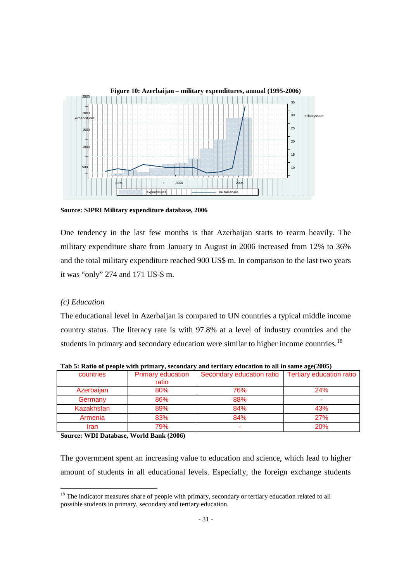

**Figure 10: Azerbaijan – military expenditures, annual (1995-2006)** 

**Source: SIPRI Military expenditure database, 2006** 

One tendency in the last few months is that Azerbaijan starts to rearm heavily. The military expenditure share from January to August in 2006 increased from 12% to 36% and the total military expenditure reached 900 US\$ m. In comparison to the last two years it was "only" 274 and 171 US-\$ m.

#### *(c) Education*

<u>.</u>

The educational level in Azerbaijan is compared to UN countries a typical middle income country status. The literacy rate is with 97.8% at a level of industry countries and the students in primary and secondary education were similar to higher income countries.<sup>18</sup>

| countries         | <b>Primary education</b> | Secondary education ratio | <b>Tertiary education ratio</b> |
|-------------------|--------------------------|---------------------------|---------------------------------|
|                   | ratio                    |                           |                                 |
| Azerbaijan        | 80%                      | 76%                       | 24%                             |
| Germany           | 86%                      | 88%                       | $\overline{\phantom{a}}$        |
| <b>Kazakhstan</b> | 89%                      | 84%                       | 43%                             |
| Armenia           | 83%                      | 84%                       | <b>27%</b>                      |
| Iran              | 79%                      |                           | <b>20%</b>                      |

**Tab 5: Ratio of people with primary, secondary and tertiary education to all in same age(2005)** 

**Source: WDI Database, World Bank (2006)** 

The government spent an increasing value to education and science, which lead to higher amount of students in all educational levels. Especially, the foreign exchange students

 $18$  The indicator measures share of people with primary, secondary or tertiary education related to all possible students in primary, secondary and tertiary education.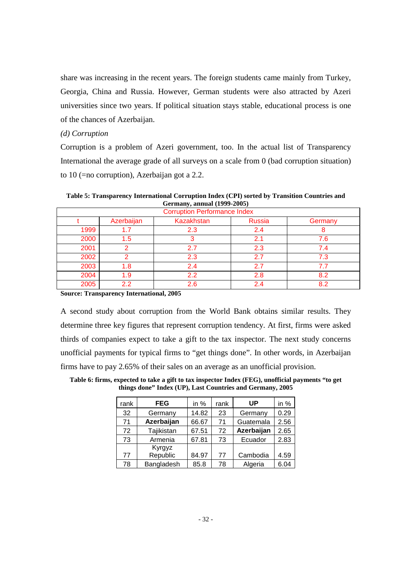share was increasing in the recent years. The foreign students came mainly from Turkey, Georgia, China and Russia. However, German students were also attracted by Azeri universities since two years. If political situation stays stable, educational process is one of the chances of Azerbaijan.

#### *(d) Corruption*

Corruption is a problem of Azeri government, too. In the actual list of Transparency International the average grade of all surveys on a scale from 0 (bad corruption situation) to 10 (=no corruption), Azerbaijan got a 2.2.

**Table 5: Transparency International Corruption Index (CPI) sorted by Transition Countries and Germany, annual (1999-2005)** 

| <b>Corruption Performance Index</b>                         |                  |                  |     |     |  |  |  |
|-------------------------------------------------------------|------------------|------------------|-----|-----|--|--|--|
| Azerbaijan<br><b>Kazakhstan</b><br><b>Russia</b><br>Germany |                  |                  |     |     |  |  |  |
| 1999                                                        |                  | 2.3              | 2.4 | 8   |  |  |  |
| 2000                                                        | 1.5              |                  | 2.1 | 7.6 |  |  |  |
| 2001                                                        | ⌒                | 2.7              | 2.3 | 7.4 |  |  |  |
| 2002                                                        | ົ                | 2.3              | 2.7 | 7.3 |  |  |  |
| 2003                                                        | -8               | 2.4              | 2.7 | 7.7 |  |  |  |
| 2004                                                        | 1.9 <sup>°</sup> | $2.2\phantom{0}$ | 2.8 | 8.2 |  |  |  |
| 2005                                                        | 22               | 2.6              | 2.4 | 8.2 |  |  |  |

**Source: Transparency International, 2005** 

A second study about corruption from the World Bank obtains similar results. They determine three key figures that represent corruption tendency. At first, firms were asked thirds of companies expect to take a gift to the tax inspector. The next study concerns unofficial payments for typical firms to "get things done". In other words, in Azerbaijan firms have to pay 2.65% of their sales on an average as an unofficial provision.

| rank | <b>FEG</b>         | in $%$ | rank | UP         | in $%$ |
|------|--------------------|--------|------|------------|--------|
| 32   | Germany            | 14.82  | 23   | Germany    | 0.29   |
| 71   | Azerbaijan         | 66.67  | 71   | Guatemala  | 2.56   |
| 72   | Tajikistan         | 67.51  | 72   | Azerbaijan | 2.65   |
| 73   | Armenia            | 67.81  | 73   | Ecuador    | 2.83   |
| 77   | Kyrgyz<br>Republic | 84.97  | 77   | Cambodia   | 4.59   |
| 78   | Bangladesh         | 85.8   | 78   | Algeria    | 6.04   |

**Table 6: firms, expected to take a gift to tax inspector Index (FEG), unofficial payments "to get things done" Index (UP), Last Countries and Germany, 2005**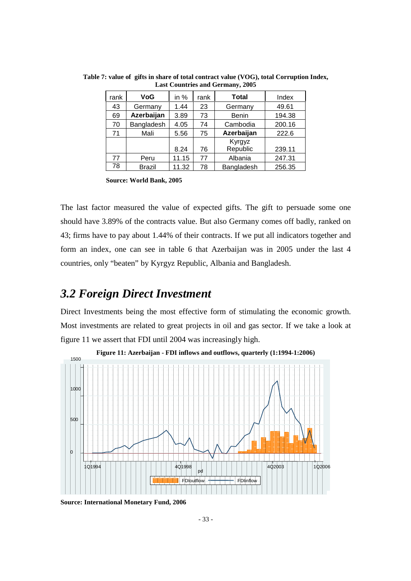| rank | <b>VoG</b>    | in $%$ | rank | <b>Total</b> | Index  |
|------|---------------|--------|------|--------------|--------|
| 43   | Germany       | 1.44   | 23   | Germany      | 49.61  |
| 69   | Azerbaijan    | 3.89   | 73   | <b>Benin</b> | 194.38 |
| 70   | Bangladesh    | 4.05   | 74   | Cambodia     | 200.16 |
| 71   | Mali          | 5.56   | 75   | Azerbaijan   | 222.6  |
|      |               |        |      | Kyrgyz       |        |
|      |               | 8.24   | 76   | Republic     | 239.11 |
| 77   | Peru          | 11.15  | 77   | Albania      | 247.31 |
| 78   | <b>Brazil</b> | 11.32  | 78   | Bangladesh   | 256.35 |

**Table 7: value of gifts in share of total contract value (VOG), total Corruption Index, Last Countries and Germany, 2005** 

 **Source: World Bank, 2005**

The last factor measured the value of expected gifts. The gift to persuade some one should have 3.89% of the contracts value. But also Germany comes off badly, ranked on 43; firms have to pay about 1.44% of their contracts. If we put all indicators together and form an index, one can see in table 6 that Azerbaijan was in 2005 under the last 4 countries, only "beaten" by Kyrgyz Republic, Albania and Bangladesh.

## *3.2 Foreign Direct Investment*

Direct Investments being the most effective form of stimulating the economic growth. Most investments are related to great projects in oil and gas sector. If we take a look at figure 11 we assert that FDI until 2004 was increasingly high.



**Figure 11: Azerbaijan - FDI inflows and outflows, quarterly (1:1994-1:2006)** 

**Source: International Monetary Fund, 2006**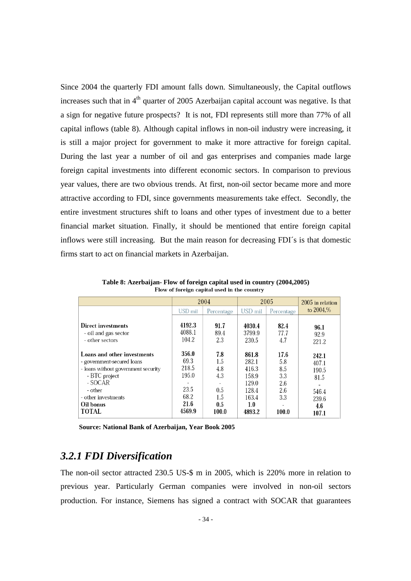Since 2004 the quarterly FDI amount falls down. Simultaneously, the Capital outflows increases such that in  $4<sup>th</sup>$  quarter of 2005 Azerbaijan capital account was negative. Is that a sign for negative future prospects? It is not, FDI represents still more than 77% of all capital inflows (table 8). Although capital inflows in non-oil industry were increasing, it is still a major project for government to make it more attractive for foreign capital. During the last year a number of oil and gas enterprises and companies made large foreign capital investments into different economic sectors. In comparison to previous year values, there are two obvious trends. At first, non-oil sector became more and more attractive according to FDI, since governments measurements take effect. Secondly, the entire investment structures shift to loans and other types of investment due to a better financial market situation. Finally, it should be mentioned that entire foreign capital inflows were still increasing. But the main reason for decreasing FDI´s is that domestic firms start to act on financial markets in Azerbaijan.

|                                                                                                                                                                                             | 2004                                                              |                                                        | 2005                                                                         |                                                         | 2005 in relation                                                  |
|---------------------------------------------------------------------------------------------------------------------------------------------------------------------------------------------|-------------------------------------------------------------------|--------------------------------------------------------|------------------------------------------------------------------------------|---------------------------------------------------------|-------------------------------------------------------------------|
|                                                                                                                                                                                             | USD mil                                                           | Percentage                                             | USD mil                                                                      | Percentage                                              | to $2004%$                                                        |
| Direct investments<br>- oil and gas sector<br>- other sectors                                                                                                                               | 4192.3<br>4088.1<br>104.2                                         | 91.7<br>89.4<br>2.3                                    | 4030.4<br>3799.9<br>230.5                                                    | 82.4<br>77.7<br>4.7                                     | 96.1<br>92.9<br>221.2                                             |
| Loans and other investments<br>- government-secured loans<br>- loans without government security<br>- BTC project<br>- SOCAR<br>- other<br>- other investments<br>Oil bonus<br><b>TOTAL</b> | 356.0<br>69.3<br>218.5<br>195.0<br>23.5<br>68.2<br>21.6<br>4569.9 | 7.8<br>1.5<br>4.8<br>4.3<br>0.5<br>1.5<br>0.5<br>100.0 | 861.8<br>282.1<br>416.3<br>158.9<br>129.0<br>128.4<br>163.4<br>1.0<br>4893.2 | 17.6<br>5.8<br>8.5<br>3.3<br>2.6<br>2.6<br>3.3<br>100.0 | 242.1<br>407.1<br>190.5<br>81.5<br>546.4<br>239.6<br>4.6<br>107.1 |

**Table 8: Azerbaijan- Flow of foreign capital used in country (2004,2005)** 

 **Source: National Bank of Azerbaijan, Year Book 2005** 

### *3.2.1 FDI Diversification*

The non-oil sector attracted 230.5 US-\$ m in 2005, which is 220% more in relation to previous year. Particularly German companies were involved in non-oil sectors production. For instance, Siemens has signed a contract with SOCAR that guarantees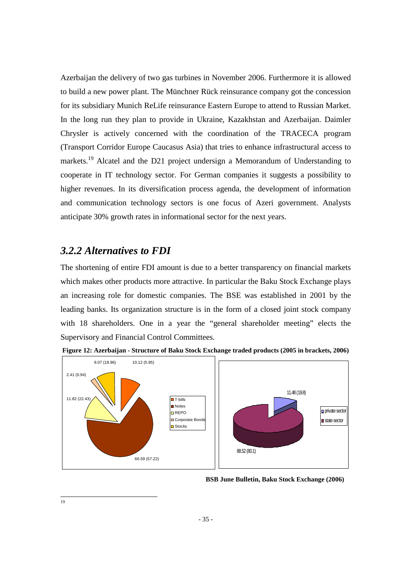Azerbaijan the delivery of two gas turbines in November 2006. Furthermore it is allowed to build a new power plant. The Münchner Rück reinsurance company got the concession for its subsidiary Munich ReLife reinsurance Eastern Europe to attend to Russian Market. In the long run they plan to provide in Ukraine, Kazakhstan and Azerbaijan. Daimler Chrysler is actively concerned with the coordination of the TRACECA program (Transport Corridor Europe Caucasus Asia) that tries to enhance infrastructural access to markets.<sup>19</sup> Alcatel and the D21 project undersign a Memorandum of Understanding to cooperate in IT technology sector. For German companies it suggests a possibility to higher revenues. In its diversification process agenda, the development of information and communication technology sectors is one focus of Azeri government. Analysts anticipate 30% growth rates in informational sector for the next years.

### *3.2.2 Alternatives to FDI*

The shortening of entire FDI amount is due to a better transparency on financial markets which makes other products more attractive. In particular the Baku Stock Exchange plays an increasing role for domestic companies. The BSE was established in 2001 by the leading banks. Its organization structure is in the form of a closed joint stock company with 18 shareholders. One in a year the "general shareholder meeting" elects the Supervisory and Financial Control Committees.





**BSB June Bulletin, Baku Stock Exchange (2006)** 

 $\frac{1}{19}$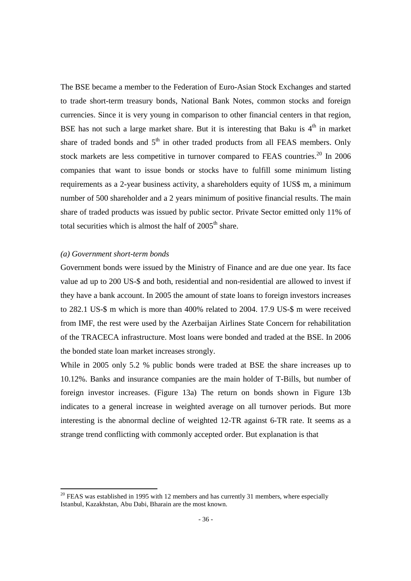The BSE became a member to the Federation of Euro-Asian Stock Exchanges and started to trade short-term treasury bonds, National Bank Notes, common stocks and foreign currencies. Since it is very young in comparison to other financial centers in that region, BSE has not such a large market share. But it is interesting that Baku is  $4<sup>th</sup>$  in market share of traded bonds and  $5<sup>th</sup>$  in other traded products from all FEAS members. Only stock markets are less competitive in turnover compared to FEAS countries.<sup>20</sup> In 2006 companies that want to issue bonds or stocks have to fulfill some minimum listing requirements as a 2-year business activity, a shareholders equity of 1US\$ m, a minimum number of 500 shareholder and a 2 years minimum of positive financial results. The main share of traded products was issued by public sector. Private Sector emitted only 11% of total securities which is almost the half of  $2005<sup>th</sup>$  share.

#### *(a) Government short-term bonds*

<u>.</u>

Government bonds were issued by the Ministry of Finance and are due one year. Its face value ad up to 200 US-\$ and both, residential and non-residential are allowed to invest if they have a bank account. In 2005 the amount of state loans to foreign investors increases to 282.1 US-\$ m which is more than 400% related to 2004. 17.9 US-\$ m were received from IMF, the rest were used by the Azerbaijan Airlines State Concern for rehabilitation of the TRACECA infrastructure. Most loans were bonded and traded at the BSE. In 2006 the bonded state loan market increases strongly.

While in 2005 only 5.2 % public bonds were traded at BSE the share increases up to 10.12%. Banks and insurance companies are the main holder of T-Bills, but number of foreign investor increases. (Figure 13a) The return on bonds shown in Figure 13b indicates to a general increase in weighted average on all turnover periods. But more interesting is the abnormal decline of weighted 12-TR against 6-TR rate. It seems as a strange trend conflicting with commonly accepted order. But explanation is that

 $20$  FEAS was established in 1995 with 12 members and has currently 31 members, where especially Istanbul, Kazakhstan, Abu Dabi, Bharain are the most known.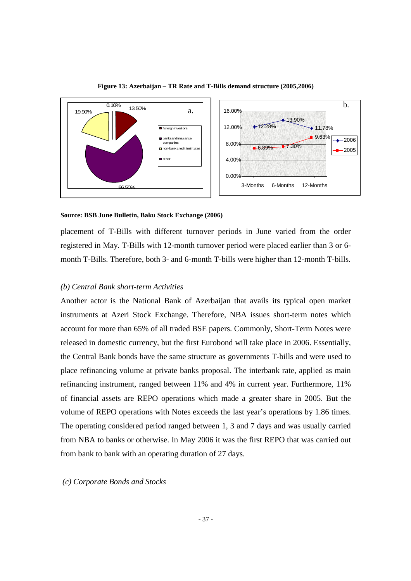

**Figure 13: Azerbaijan – TR Rate and T-Bills demand structure (2005,2006)** 

#### **Source: BSB June Bulletin, Baku Stock Exchange (2006)**

placement of T-Bills with different turnover periods in June varied from the order registered in May. T-Bills with 12-month turnover period were placed earlier than 3 or 6 month T-Bills. Therefore, both 3- and 6-month T-bills were higher than 12-month T-bills.

#### *(b) Central Bank short-term Activities*

Another actor is the National Bank of Azerbaijan that avails its typical open market instruments at Azeri Stock Exchange. Therefore, NBA issues short-term notes which account for more than 65% of all traded BSE papers. Commonly, Short-Term Notes were released in domestic currency, but the first Eurobond will take place in 2006. Essentially, the Central Bank bonds have the same structure as governments T-bills and were used to place refinancing volume at private banks proposal. The interbank rate, applied as main refinancing instrument, ranged between 11% and 4% in current year. Furthermore, 11% of financial assets are REPO operations which made a greater share in 2005. But the volume of REPO operations with Notes exceeds the last year's operations by 1.86 times. The operating considered period ranged between 1, 3 and 7 days and was usually carried from NBA to banks or otherwise. In May 2006 it was the first REPO that was carried out from bank to bank with an operating duration of 27 days.

 *(c) Corporate Bonds and Stocks*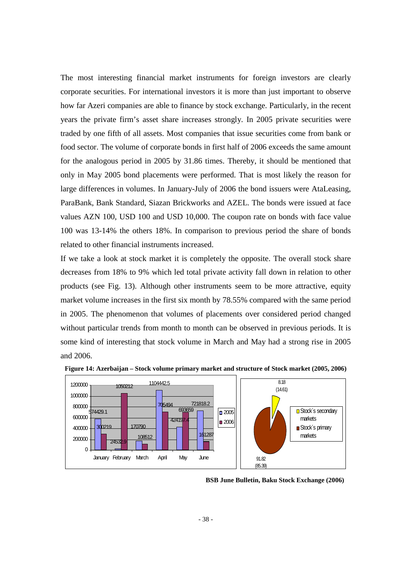The most interesting financial market instruments for foreign investors are clearly corporate securities. For international investors it is more than just important to observe how far Azeri companies are able to finance by stock exchange. Particularly, in the recent years the private firm's asset share increases strongly. In 2005 private securities were traded by one fifth of all assets. Most companies that issue securities come from bank or food sector. The volume of corporate bonds in first half of 2006 exceeds the same amount for the analogous period in 2005 by 31.86 times. Thereby, it should be mentioned that only in May 2005 bond placements were performed. That is most likely the reason for large differences in volumes. In January-July of 2006 the bond issuers were AtaLeasing, ParaBank, Bank Standard, Siazan Brickworks and AZEL. The bonds were issued at face values AZN 100, USD 100 and USD 10,000. The coupon rate on bonds with face value 100 was 13-14% the others 18%. In comparison to previous period the share of bonds related to other financial instruments increased.

If we take a look at stock market it is completely the opposite. The overall stock share decreases from 18% to 9% which led total private activity fall down in relation to other products (see Fig. 13). Although other instruments seem to be more attractive, equity market volume increases in the first six month by 78.55% compared with the same period in 2005. The phenomenon that volumes of placements over considered period changed without particular trends from month to month can be observed in previous periods. It is some kind of interesting that stock volume in March and May had a strong rise in 2005 and 2006.



**Figure 14: Azerbaijan – Stock volume primary market and structure of Stock market (2005, 2006)** 

**BSB June Bulletin, Baku Stock Exchange (2006)**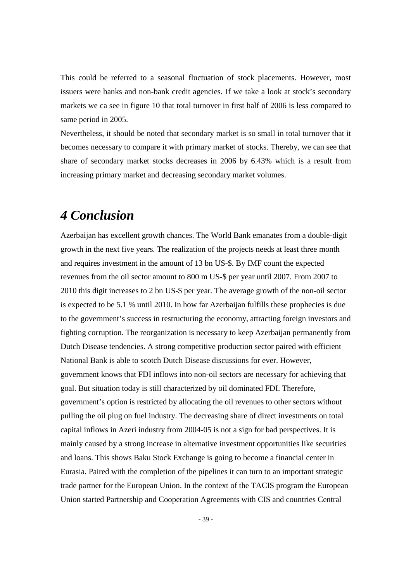This could be referred to a seasonal fluctuation of stock placements. However, most issuers were banks and non-bank credit agencies. If we take a look at stock's secondary markets we ca see in figure 10 that total turnover in first half of 2006 is less compared to same period in 2005.

Nevertheless, it should be noted that secondary market is so small in total turnover that it becomes necessary to compare it with primary market of stocks. Thereby, we can see that share of secondary market stocks decreases in 2006 by 6.43% which is a result from increasing primary market and decreasing secondary market volumes.

# *4 Conclusion*

Azerbaijan has excellent growth chances. The World Bank emanates from a double-digit growth in the next five years. The realization of the projects needs at least three month and requires investment in the amount of 13 bn US-\$. By IMF count the expected revenues from the oil sector amount to 800 m US-\$ per year until 2007. From 2007 to 2010 this digit increases to 2 bn US-\$ per year. The average growth of the non-oil sector is expected to be 5.1 % until 2010. In how far Azerbaijan fulfills these prophecies is due to the government's success in restructuring the economy, attracting foreign investors and fighting corruption. The reorganization is necessary to keep Azerbaijan permanently from Dutch Disease tendencies. A strong competitive production sector paired with efficient National Bank is able to scotch Dutch Disease discussions for ever. However, government knows that FDI inflows into non-oil sectors are necessary for achieving that goal. But situation today is still characterized by oil dominated FDI. Therefore, government's option is restricted by allocating the oil revenues to other sectors without pulling the oil plug on fuel industry. The decreasing share of direct investments on total capital inflows in Azeri industry from 2004-05 is not a sign for bad perspectives. It is mainly caused by a strong increase in alternative investment opportunities like securities and loans. This shows Baku Stock Exchange is going to become a financial center in Eurasia. Paired with the completion of the pipelines it can turn to an important strategic trade partner for the European Union. In the context of the TACIS program the European Union started Partnership and Cooperation Agreements with CIS and countries Central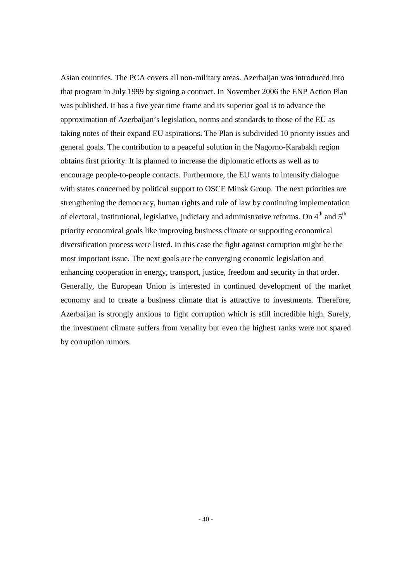Asian countries. The PCA covers all non-military areas. Azerbaijan was introduced into that program in July 1999 by signing a contract. In November 2006 the ENP Action Plan was published. It has a five year time frame and its superior goal is to advance the approximation of Azerbaijan's legislation, norms and standards to those of the EU as taking notes of their expand EU aspirations. The Plan is subdivided 10 priority issues and general goals. The contribution to a peaceful solution in the Nagorno-Karabakh region obtains first priority. It is planned to increase the diplomatic efforts as well as to encourage people-to-people contacts. Furthermore, the EU wants to intensify dialogue with states concerned by political support to OSCE Minsk Group. The next priorities are strengthening the democracy, human rights and rule of law by continuing implementation of electoral, institutional, legislative, judiciary and administrative reforms. On  $4<sup>th</sup>$  and  $5<sup>th</sup>$ priority economical goals like improving business climate or supporting economical diversification process were listed. In this case the fight against corruption might be the most important issue. The next goals are the converging economic legislation and enhancing cooperation in energy, transport, justice, freedom and security in that order. Generally, the European Union is interested in continued development of the market economy and to create a business climate that is attractive to investments. Therefore, Azerbaijan is strongly anxious to fight corruption which is still incredible high. Surely, the investment climate suffers from venality but even the highest ranks were not spared by corruption rumors.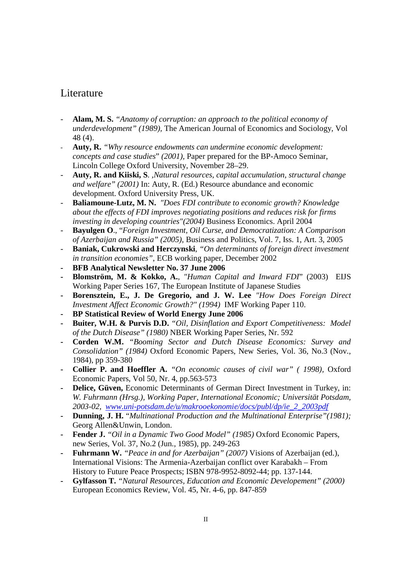## Literature

- **Alam, M. S.** *"Anatomy of corruption: an approach to the political economy of underdevelopment" (1989),* The American Journal of Economics and Sociology, Vol 48 (4).
- **Auty, R.** *"Why resource endowments can undermine economic development: concepts and case studies*" *(2001),* Paper prepared for the BP-Amoco Seminar, Lincoln College Oxford University, November 28–29.
- **Auty, R. and Kiiski, S**. *,Natural resources, capital accumulation, structural change and welfare" (2001)* In: Auty, R. (Ed.) Resource abundance and economic development. Oxford University Press, UK.
- **Baliamoune-Lutz, M. N.** *"Does FDI contribute to economic growth? Knowledge about the effects of FDI improves negotiating positions and reduces risk for firms investing in developing countries"(2004)* Business Economics. April 2004
- **Bayulgen O**., "*Foreign Investment, Oil Curse, and Democratization: A Comparison of Azerbaijan and Russia" (2005)*, Business and Politics, Vol. 7, Iss. 1, Art. 3, 2005
- **Baniak, Cukrowski and Herczynski**, *"On determinants of foreign direct investment in transition economies"*, ECB working paper, December 2002
- **- BFB Analytical Newsletter No. 37 June 2006**
- **- Blomström, M. & Kokko, A.**, *"Human Capital and Inward FDI*" (2003) EIJS Working Paper Series 167, The European Institute of Japanese Studies
- **- Borensztein, E., J. De Gregorio, and J. W. Lee** *"How Does Foreign Direct Investment Affect Economic Growth?" (1994)* IMF Working Paper 110.
- **- BP Statistical Review of World Energy June 2006**
- **- Buiter, W.H. & Purvis D.D.** *"Oil, Disinflation and Export Competitiveness: Model of the Dutch Disease" (1980)* NBER Working Paper Series, Nr. 592
- **- Corden W.M.** *"Booming Sector and Dutch Disease Economics: Survey and Consolidation" (1984)* Oxford Economic Papers, New Series, Vol. 36, No.3 (Nov., 1984), pp 359-380
- **- Collier P. and Hoeffler A.** *"On economic causes of civil war" ( 1998),* Oxford Economic Papers, Vol 50, Nr. 4, pp.563-573
- **- Delice, Güven,** Economic Determinants of German Direct Investment in Turkey, in: *W. Fuhrmann (Hrsg.), Working Paper, International Economic; Universität Potsdam, 2003-02, www.uni-potsdam.de/u/makrooekonomie/docs/publ/dp/ie\_2\_2003pdf*
- **- Dunning, J. H.** "*Multinational Production and the Multinational Enterprise"(1981);*  Georg Allen&Unwin, London.
- **- Fender J.** *"Oil in a Dynamic Two Good Model" (1985)* Oxford Economic Papers, new Series, Vol. 37, No.2 (Jun., 1985), pp. 249-263
- **- Fuhrmann W.** *"Peace in and for Azerbaijan" (2007)* Visions of Azerbaijan (ed.), International Visions: The Armenia-Azerbaijan conflict over Karabakh – From History to Future Peace Prospects; ISBN 978-9952-8092-44; pp. 137-144.
- **- Gylfasson T.** *"Natural Resources, Education and Economic Developement" (2000)*  European Economics Review, Vol. 45, Nr. 4-6, pp. 847-859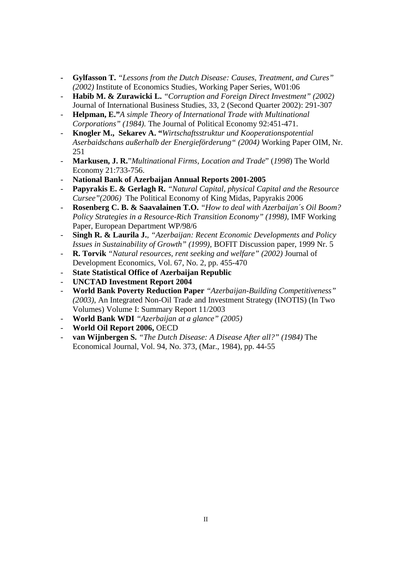- **- Gylfasson T.** *"Lessons from the Dutch Disease: Causes, Treatment, and Cures" (2002)* Institute of Economics Studies, Working Paper Series, W01:06
- **Habib M. & Zurawicki L.** *"Corruption and Foreign Direct Investment" (2002)*  Journal of International Business Studies, 33, 2 (Second Quarter 2002): 291-307
- **Helpman, E."***A simple Theory of International Trade with Multinational Corporations" (1984).* The Journal of Political Economy 92:451-471.
- **Knogler M., Sekarev A. "***Wirtschaftsstruktur und Kooperationspotential Aserbaidschans außerhalb der Energieförderung" (2004)* Working Paper OIM, Nr. 251
- **Markusen, J. R.**"*Multinational Firms, Location and Trade*" (*1998*) The World Economy 21:733-756.
- **National Bank of Azerbaijan Annual Reports 2001-2005**
- **Papyrakis E. & Gerlagh R.** *"Natural Capital, physical Capital and the Resource Cursee"(2006)* The Political Economy of King Midas, Papyrakis 2006
- **Rosenberg C. B. & Saavalainen T.O.** *"How to deal with Azerbaijan´s Oil Boom? Policy Strategies in a Resource-Rich Transition Economy" (1998), IMF Working* Paper, European Department WP/98/6
- **Singh R. & Laurila J.**, *"Azerbaijan: Recent Economic Developments and Policy Issues in Sustainability of Growth" (1999)*, BOFIT Discussion paper, 1999 Nr. 5
- **R. Torvik** *"Natural resources, rent seeking and welfare" (2002)* Journal of Development Economics, Vol. 67, No. 2, pp. 455-470
- **State Statistical Office of Azerbaijan Republic**
- **UNCTAD Investment Report 2004**
- **World Bank Poverty Reduction Paper** *"Azerbaijan-Building Competitiveness" (2003)*, An Integrated Non-Oil Trade and Investment Strategy (INOTIS) (In Two Volumes) Volume I: Summary Report 11/2003
- **World Bank WDI** *"Azerbaijan at a glance" (2005)*
- **World Oil Report 2006,** OECD
- **van Wijnbergen S.** *"The Dutch Disease: A Disease After all?" (1984)* The Economical Journal, Vol. 94, No. 373, (Mar., 1984), pp. 44-55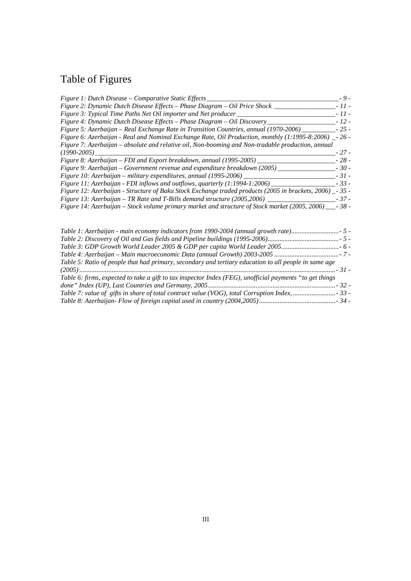# Table of Figures

| Figure 1: Dutch Disease – Comparative Static Effects                                                      | $-9-$  |
|-----------------------------------------------------------------------------------------------------------|--------|
| Figure 2: Dynamic Dutch Disease Effects - Phase Diagram - Oil Price Shock                                 | $-11-$ |
| Figure 3: Typical Time Paths Net Oil importer and Net producer                                            | $-11-$ |
| Figure 4: Dynamic Dutch Disease Effects - Phase Diagram - Oil Discovery                                   | $-12-$ |
| Figure 5: Azerbaijan – Real Exchange Rate in Transition Countries, annual (1970-2006)                     | $-25-$ |
| Figure 6: Azerbaijan - Real and Nominal Exchange Rate, Oil Production, monthly (1:1995-8:2006) _- 26 -    |        |
| Figure 7: Azerbaijan – absolute and relative oil, Non-booming and Non-tradable production, annual         |        |
| $(1990 - 2005)$                                                                                           | $-27-$ |
| Figure 8: Azerbaijan – FDI and Export breakdown, annual (1995-2005) _                                     | $-28-$ |
| Figure 9: Azerbaijan – Government revenue and expenditure breakdown (2005)                                | $-30-$ |
| Figure 10: Azerbaijan – military expenditures, annual (1995-2006)                                         | $-31-$ |
| Figure 11: Azerbaijan - FDI inflows and outflows, quarterly (1:1994-1:2006)                               | $-33-$ |
| Figure 12: Azerbaijan - Structure of Baku Stock Exchange traded products (2005 in brackets, 2006) _- 35 - |        |
| Figure 13: Azerbaijan – TR Rate and T-Bills demand structure $(2005, 2006)$                               | $-37-$ |
| Figure 14: Azerbaijan – Stock volume primary market and structure of Stock market (2005, 2006)            | $-38-$ |
|                                                                                                           |        |

| Table 1: Azerbaijan - main economy indicators from 1990-2004 (annual growth rate)                        |  |
|----------------------------------------------------------------------------------------------------------|--|
|                                                                                                          |  |
|                                                                                                          |  |
| - 7 - Table 4: Azerbaijan – Main macroeconomic Data (annual Growth) 2003-2005                            |  |
| Table 5: Ratio of people that had primary, secondary and tertiary education to all people in same age    |  |
|                                                                                                          |  |
| Table 6: firms, expected to take a gift to tax inspector Index (FEG), unofficial payments "to get things |  |
|                                                                                                          |  |
|                                                                                                          |  |
|                                                                                                          |  |
|                                                                                                          |  |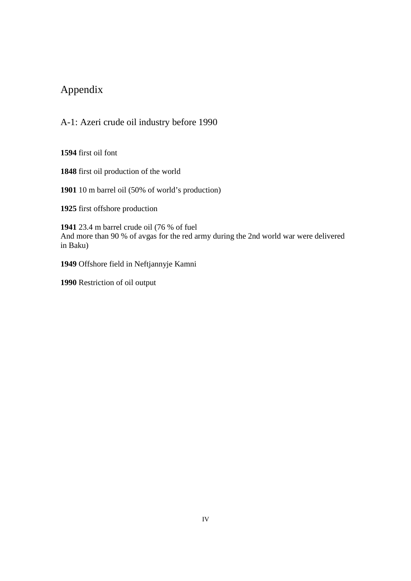## Appendix

A-1: Azeri crude oil industry before 1990

**1594** first oil font

**1848** first oil production of the world

**1901** 10 m barrel oil (50% of world's production)

**1925** first offshore production

**1941** 23.4 m barrel crude oil (76 % of fuel And more than 90 % of avgas for the red army during the 2nd world war were delivered in Baku)

**1949** Offshore field in Neftjannyje Kamni

**1990** Restriction of oil output